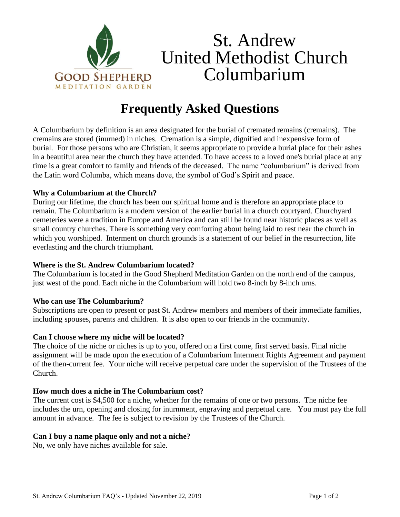

# St. Andrew United Methodist Church Columbarium

# **Frequently Asked Questions**

A Columbarium by definition is an area designated for the burial of cremated remains (cremains). The cremains are stored (inurned) in niches. Cremation is a simple, dignified and inexpensive form of burial. For those persons who are Christian, it seems appropriate to provide a burial place for their ashes in a beautiful area near the church they have attended. To have access to a loved one's burial place at any time is a great comfort to family and friends of the deceased. The name "columbarium" is derived from the Latin word Columba, which means dove, the symbol of God's Spirit and peace.

# **Why a Columbarium at the Church?**

During our lifetime, the church has been our spiritual home and is therefore an appropriate place to remain. The Columbarium is a modern version of the earlier burial in a church courtyard. Churchyard cemeteries were a tradition in Europe and America and can still be found near historic places as well as small country churches. There is something very comforting about being laid to rest near the church in which you worshiped. Interment on church grounds is a statement of our belief in the resurrection, life everlasting and the church triumphant.

#### **Where is the St. Andrew Columbarium located?**

The Columbarium is located in the Good Shepherd Meditation Garden on the north end of the campus, just west of the pond. Each niche in the Columbarium will hold two 8-inch by 8-inch urns.

#### **Who can use The Columbarium?**

Subscriptions are open to present or past St. Andrew members and members of their immediate families, including spouses, parents and children*.* It is also open to our friends in the community.

#### **Can I choose where my niche will be located?**

The choice of the niche or niches is up to you, offered on a first come, first served basis. Final niche assignment will be made upon the execution of a Columbarium Interment Rights Agreement and payment of the then-current fee. Your niche will receive perpetual care under the supervision of the Trustees of the Church.

#### **How much does a niche in The Columbarium cost?**

The current cost is \$4,500 for a niche, whether for the remains of one or two persons. The niche fee includes the urn, opening and closing for inurnment, engraving and perpetual care. You must pay the full amount in advance. The fee is subject to revision by the Trustees of the Church.

# **Can I buy a name plaque only and not a niche?**

No, we only have niches available for sale.